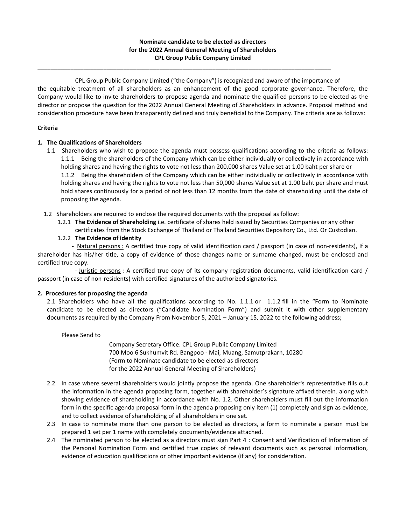## **Nominate candidate to be elected as directors for the 2022 Annual General Meeting of Shareholders CPL Group Public Company Limited**

\_\_\_\_\_\_\_\_\_\_\_\_\_\_\_\_\_\_\_\_\_\_\_\_\_\_\_\_\_\_\_\_\_\_\_\_\_\_\_\_\_\_\_\_\_\_\_\_\_\_\_\_\_\_\_\_\_\_\_\_\_\_\_\_\_\_\_\_\_\_\_\_\_\_\_\_\_\_\_\_\_\_\_\_\_\_\_\_\_

CPL Group Public Company Limited ("the Company") is recognized and aware of the importance of the equitable treatment of all shareholders as an enhancement of the good corporate governance. Therefore, the Company would like to invite shareholders to propose agenda and nominate the qualified persons to be elected as the director or propose the question for the 2022 Annual General Meeting of Shareholders in advance. Proposal method and consideration procedure have been transparently defined and truly beneficial to the Company. The criteria are as follows:

## **Criteria**

# **1. The Qualifications of Shareholders**

- 1.1 Shareholders who wish to propose the agenda must possess qualifications according to the criteria as follows: 1.1.1 Being the shareholders of the Company which can be either individually or collectively in accordance with holding shares and having the rights to vote not less than 200,000 shares Value set at 1.00 baht per share or 1.1.2 Being the shareholders of the Company which can be either individually or collectively in accordance with holding shares and having the rights to vote not less than 50,000 shares Value set at 1.00 baht per share and must hold shares continuously for a period of not less than 12 months from the date of shareholding until the date of proposing the agenda.
- 1.2 Shareholders are required to enclose the required documents with the proposal as follow:
	- 1.2.1 **The Evidence of Shareholding** i.e. certificate of shares held issued by Securities Companies or any other
		- certificates from the Stock Exchange of Thailand or Thailand Securities Depository Co., Ltd. Or Custodian.
	- 1.2.2 **The Evidence of identity**

 **-** Natural persons : A certified true copy of valid identification card / passport (in case of non-residents), If a shareholder has his/her title, a copy of evidence of those changes name or surname changed, must be enclosed and certified true copy.

- Juristic persons : A certified true copy of its company registration documents, valid identification card / passport (in case of non-residents) with certified signatures of the authorized signatories.

#### **2. Procedures for proposing the agenda**

2.1 Shareholders who have all the qualifications according to No. 1.1.1 or 1.1.2 fill in the "Form to Nominate candidate to be elected as directors ("Candidate Nomination Form") and submit it with other supplementary documents as required by the Company From November 5, 2021 – January 15, 2022 to the following address;

Please Send to

Company Secretary Office. CPL Group Public Company Limited 700 Moo 6 Sukhumvit Rd. Bangpoo - Mai, Muang, Samutprakarn, 10280 (Form to Nominate candidate to be elected as directors for the 2022 Annual General Meeting of Shareholders)

- 2.2 In case where several shareholders would jointly propose the agenda. One shareholder's representative fills out the information in the agenda proposing form, together with shareholder's signature affixed therein. along with showing evidence of shareholding in accordance with No. 1.2. Other shareholders must fill out the information form in the specific agenda proposal form in the agenda proposing only item (1) completely and sign as evidence, and to collect evidence of shareholding of all shareholders in one set.
- 2.3 In case to nominate more than one person to be elected as directors, a form to nominate a person must be prepared 1 set per 1 name with completely documents/evidence attached.
- 2.4 The nominated person to be elected as a directors must sign Part 4 : Consent and Verification of Information of the Personal Nomination Form and certified true copies of relevant documents such as personal information, evidence of education qualifications or other important evidence (if any) for consideration.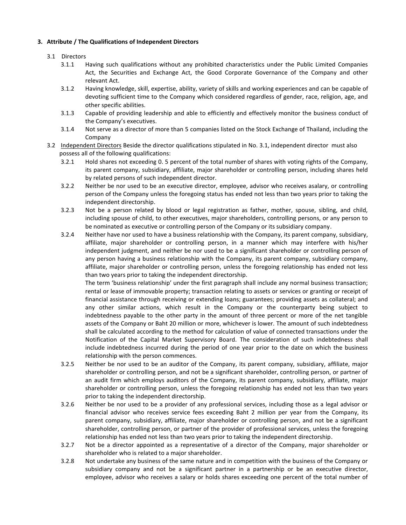### **3. Attribute / The Qualifications of Independent Directors**

# 3.1 Directors

- 3.1.1 Having such qualifications without any prohibited characteristics under the Public Limited Companies Act, the Securities and Exchange Act, the Good Corporate Governance of the Company and other relevant Act.
- 3.1.2 Having knowledge, skill, expertise, ability, variety of skills and working experiences and can be capable of devoting sufficient time to the Company which considered regardless of gender, race, religion, age, and other specific abilities.
- 3.1.3 Capable of providing leadership and able to efficiently and effectively monitor the business conduct of the Company's executives.
- 3.1.4 Not serve as a director of more than 5 companies listed on the Stock Exchange of Thailand, including the Company
- 3.2 Independent Directors Beside the director qualifications stipulated in No. 3.1, independent director must also possess all of the following qualifications:
	- 3.2.1 Hold shares not exceeding 0. 5 percent of the total number of shares with voting rights of the Company, its parent company, subsidiary, affiliate, major shareholder or controlling person, including shares held by related persons of such independent director.
	- 3.2.2 Neither be nor used to be an executive director, employee, advisor who receives asalary, or controlling person of the Company unless the foregoing status has ended not less than two years prior to taking the independent directorship.
	- 3.2.3 Not be a person related by blood or legal registration as father, mother, spouse, sibling, and child, including spouse of child, to other executives, major shareholders, controlling persons, or any person to be nominated as executive or controlling person of the Company or its subsidiary company.
	- 3.2.4 Neither have nor used to have a business relationship with the Company, its parent company, subsidiary, affiliate, major shareholder or controlling person, in a manner which may interfere with his/her independent judgment, and neither be nor used to be a significant shareholder or controlling person of any person having a business relationship with the Company, its parent company, subsidiary company, affiliate, major shareholder or controlling person, unless the foregoing relationship has ended not less than two years prior to taking the independent directorship.

The term 'business relationship' under the first paragraph shall include any normal business transaction; rental or lease of immovable property; transaction relating to assets or services or granting or receipt of financial assistance through receiving or extending loans; guarantees; providing assets as collateral; and any other similar actions, which result in the Company or the counterparty being subject to indebtedness payable to the other party in the amount of three percent or more of the net tangible assets of the Company or Baht 20 million or more, whichever is lower. The amount of such indebtedness shall be calculated according to the method for calculation of value of connected transactions under the Notification of the Capital Market Supervisory Board. The consideration of such indebtedness shall include indebtedness incurred during the period of one year prior to the date on which the business relationship with the person commences.

- 3.2.5 Neither be nor used to be an auditor of the Company, its parent company, subsidiary, affiliate, major shareholder or controlling person, and not be a significant shareholder, controlling person, or partner of an audit firm which employs auditors of the Company, its parent company, subsidiary, affiliate, major shareholder or controlling person, unless the foregoing relationship has ended not less than two years prior to taking the independent directorship.
- 3.2.6 Neither be nor used to be a provider of any professional services, including those as a legal advisor or financial advisor who receives service fees exceeding Baht 2 million per year from the Company, its parent company, subsidiary, affiliate, major shareholder or controlling person, and not be a significant shareholder, controlling person, or partner of the provider of professional services, unless the foregoing relationship has ended not less than two years prior to taking the independent directorship.
- 3.2.7 Not be a director appointed as a representative of a director of the Company, major shareholder or shareholder who is related to a major shareholder.
- 3.2.8 Not undertake any business of the same nature and in competition with the business of the Company or subsidiary company and not be a significant partner in a partnership or be an executive director, employee, advisor who receives a salary or holds shares exceeding one percent of the total number of